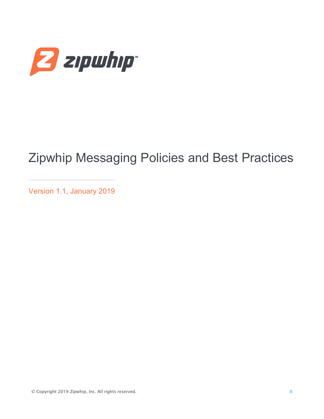

# Zipwhip Messaging Policies and Best Practices

Version 1.1, January 2019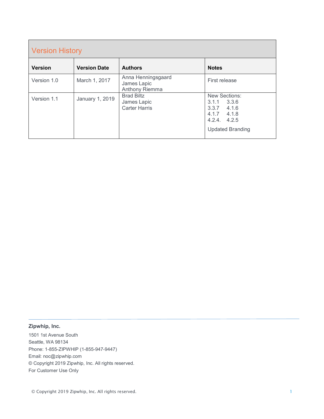| <b>Version History</b> |                     |                                                          |                                                                                                                      |  |  |
|------------------------|---------------------|----------------------------------------------------------|----------------------------------------------------------------------------------------------------------------------|--|--|
| <b>Version</b>         | <b>Version Date</b> | <b>Authors</b>                                           | <b>Notes</b>                                                                                                         |  |  |
| Version 1.0            | March 1, 2017       | Anna Henningsgaard<br>James Lapic<br>Anthony Riemma      | First release                                                                                                        |  |  |
| Version 1.1            | January 1, 2019     | <b>Brad Biltz</b><br>James Lapic<br><b>Carter Harris</b> | New Sections:<br>3.3.6<br>3.1.1<br>3.3.7<br>4.1.6<br>$4.1.7$ $4.1.8$<br>$4.2.4$ , $4.2.5$<br><b>Updated Branding</b> |  |  |

#### **Zipwhip, Inc.**

1501 1st Avenue South Seattle, WA 98134 Phone: 1-855-ZIPWHIP (1-855-947-9447) Email: noc@zipwhip.com © Copyright 2019 Zipwhip, Inc. All rights reserved. For Customer Use Only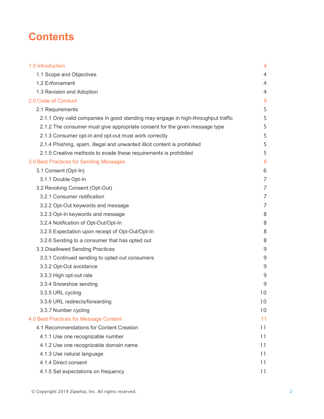# **Contents**

| 1.0 Introduction                                                                  | 4              |
|-----------------------------------------------------------------------------------|----------------|
| 1.1 Scope and Objectives                                                          | 4              |
| 1.2 Enforcement                                                                   | 4              |
| 1.3 Revision and Adoption                                                         | 4              |
| 2.0 Code of Conduct                                                               | 5              |
| 2.1 Requirements                                                                  | 5              |
| 2.1.1 Only valid companies in good standing may engage in high-throughput traffic | 5              |
| 2.1.2 The consumer must give appropriate consent for the given message type       | 5              |
| 2.1.3 Consumer opt-in and opt-out must work correctly                             | 5              |
| 2.1.4 Phishing, spam, illegal and unwanted illicit content is prohibited          | 5              |
| 2.1.5 Creative methods to evade these requirements is prohibited                  | 5              |
| 3.0 Best Practices for Sending Messages                                           | 6              |
| 3.1 Consent (Opt-In)                                                              | 6              |
| 3.1.1 Double Opt-In                                                               | $\overline{7}$ |
| 3.2 Revoking Consent (Opt-Out)                                                    | $\overline{7}$ |
| 3.2.1 Consumer notification                                                       | 7              |
| 3.2.2 Opt-Out keywords and message                                                | 7              |
| 3.2.3 Opt-In keywords and message                                                 | 8              |
| 3.2.4 Notification of Opt-Out/Opt-In                                              | 8              |
| 3.2.5 Expectation upon receipt of Opt-Out/Opt-In                                  | 8              |
| 3.2.6 Sending to a consumer that has opted out                                    | 8              |
| 3.3 Disallowed Sending Practices                                                  | 9              |
| 3.3.1 Continued sending to opted out consumers                                    | 9              |
| 3.3.2 Opt-Out avoidance                                                           | 9              |
| 3.3.3 High opt-out rate                                                           | 9              |
| 3.3.4 Snowshoe sending                                                            | 9              |
| 3.3.5 URL cycling                                                                 | 10             |
| 3.3.6 URL redirects/forwarding                                                    | 10             |
| 3.3.7 Number cycling                                                              | 10             |
| 4.0 Best Practices for Message Content                                            | 11             |
| 4.1 Recommendations for Content Creation                                          | 11             |
| 4.1.1 Use one recognizable number                                                 | 11             |
| 4.1.2 Use one recognizable domain name                                            | 11             |
| 4.1.3 Use natural language                                                        | 11             |
| 4.1.4 Direct consent                                                              | 11             |
| 4.1.5 Set expectations on frequency                                               | 11             |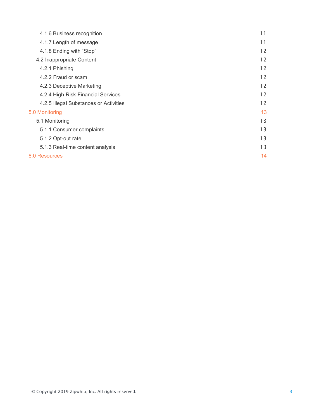| 4.1.6 Business recognition             | 11 |
|----------------------------------------|----|
| 4.1.7 Length of message                | 11 |
| 4.1.8 Ending with "Stop"               | 12 |
| 4.2 Inappropriate Content              | 12 |
| 4.2.1 Phishing                         | 12 |
| 4.2.2 Fraud or scam                    | 12 |
| 4.2.3 Deceptive Marketing              | 12 |
| 4.2.4 High-Risk Financial Services     | 12 |
| 4.2.5 Illegal Substances or Activities | 12 |
| 5.0 Monitoring                         | 13 |
| 5.1 Monitoring                         | 13 |
| 5.1.1 Consumer complaints              | 13 |
| 5.1.2 Opt-out rate                     | 13 |
| 5.1.3 Real-time content analysis       | 13 |
| 6.0 Resources                          |    |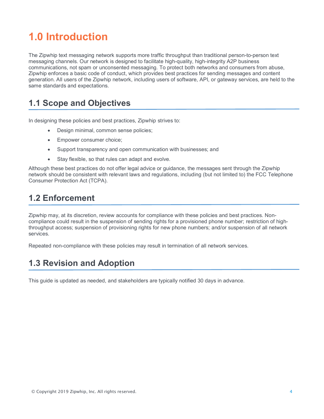# **1.0 Introduction**

The Zipwhip text messaging network supports more traffic throughput than traditional person-to-person text messaging channels. Our network is designed to facilitate high-quality, high-integrity A2P business communications, not spam or unconsented messaging. To protect both networks and consumers from abuse, Zipwhip enforces a basic code of conduct, which provides best practices for sending messages and content generation. All users of the Zipwhip network, including users of software, API, or gateway services, are held to the same standards and expectations.

# **1.1 Scope and Objectives**

In designing these policies and best practices, Zipwhip strives to:

- Design minimal, common sense policies;
- Empower consumer choice;
- Support transparency and open communication with businesses; and
- Stay flexible, so that rules can adapt and evolve.

Although these best practices do not offer legal advice or guidance, the messages sent through the Zipwhip network should be consistent with relevant laws and regulations, including (but not limited to) the FCC Telephone Consumer Protection Act (TCPA).

# **1.2 Enforcement**

Zipwhip may, at its discretion, review accounts for compliance with these policies and best practices. Noncompliance could result in the suspension of sending rights for a provisioned phone number; restriction of highthroughput access; suspension of provisioning rights for new phone numbers; and/or suspension of all network services.

Repeated non-compliance with these policies may result in termination of all network services.

# **1.3 Revision and Adoption**

This guide is updated as needed, and stakeholders are typically notified 30 days in advance.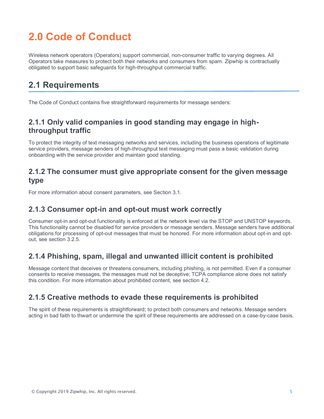# **2.0 Code of Conduct**

Wireless network operators (Operators) support commercial, non-consumer traffic to varying degrees. All Operators take measures to protect both their networks and consumers from spam. Zipwhip is contractually obligated to support basic safeguards for high-throughput commercial traffic.

# **2.1 Requirements**

The Code of Conduct contains five straightforward requirements for message senders:

## **2.1.1 Only valid companies in good standing may engage in highthroughput traffic**

To protect the integrity of text messaging networks and services, including the business operations of legitimate service providers, message senders of high-throughput text messaging must pass a basic validation during onboarding with the service provider and maintain good standing.

#### **2.1.2 The consumer must give appropriate consent for the given message type**

For more information about consent parameters, see Section 3.1.

#### **2.1.3 Consumer opt-in and opt-out must work correctly**

Consumer opt-in and opt-out functionality is enforced at the network level via the STOP and UNSTOP keywords. This functionality cannot be disabled for service providers or message senders. Message senders have additional obligations for processing of opt-out messages that must be honored. For more information about opt-in and optout, see section 3.2.5.

## **2.1.4 Phishing, spam, illegal and unwanted illicit content is prohibited**

Message content that deceives or threatens consumers, including phishing, is not permitted. Even if a consumer consents to receive messages, the messages must not be deceptive; TCPA compliance alone does not satisfy this condition. For more information about prohibited content, see section 4.2.

## **2.1.5 Creative methods to evade these requirements is prohibited**

The spirit of these requirements is straightforward; to protect both consumers and networks. Message senders acting in bad faith to thwart or undermine the spirit of these requirements are addressed on a case-by-case basis.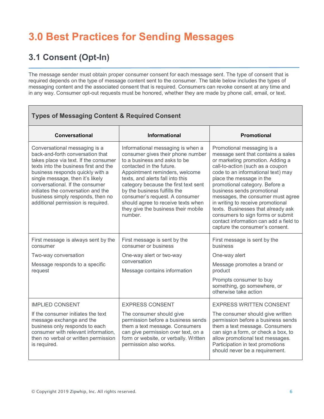# **3.0 Best Practices for Sending Messages**

# **3.1 Consent (Opt-In)**

The message sender must obtain proper consumer consent for each message sent. The type of consent that is required depends on the type of message content sent to the consumer. The table below includes the types of messaging content and the associated consent that is required. Consumers can revoke consent at any time and in any way. Consumer opt-out requests must be honored, whether they are made by phone call, email, or text.

| <b>Types of Messaging Content &amp; Required Consent</b>                                                                                                                                                                                                                                                                                                                        |                                                                                                                                                                                                                                                                                                                                                                                                            |                                                                                                                                                                                                                                                                                                                                                                                                                                                                                                              |  |  |  |
|---------------------------------------------------------------------------------------------------------------------------------------------------------------------------------------------------------------------------------------------------------------------------------------------------------------------------------------------------------------------------------|------------------------------------------------------------------------------------------------------------------------------------------------------------------------------------------------------------------------------------------------------------------------------------------------------------------------------------------------------------------------------------------------------------|--------------------------------------------------------------------------------------------------------------------------------------------------------------------------------------------------------------------------------------------------------------------------------------------------------------------------------------------------------------------------------------------------------------------------------------------------------------------------------------------------------------|--|--|--|
| Conversational                                                                                                                                                                                                                                                                                                                                                                  | <b>Informational</b>                                                                                                                                                                                                                                                                                                                                                                                       | <b>Promotional</b>                                                                                                                                                                                                                                                                                                                                                                                                                                                                                           |  |  |  |
| Conversational messaging is a<br>back-and-forth conversation that<br>takes place via text. If the consumer<br>texts into the business first and the<br>business responds quickly with a<br>single message, then it's likely<br>conversational. If the consumer<br>initiates the conversation and the<br>business simply responds, then no<br>additional permission is required. | Informational messaging is when a<br>consumer gives their phone number<br>to a business and asks to be<br>contacted in the future.<br>Appointment reminders, welcome<br>texts, and alerts fall into this<br>category because the first text sent<br>by the business fulfills the<br>consumer's request. A consumer<br>should agree to receive texts when<br>they give the business their mobile<br>number. | Promotional messaging is a<br>message sent that contains a sales<br>or marketing promotion. Adding a<br>call-to-action (such as a coupon<br>code to an informational text) may<br>place the message in the<br>promotional category. Before a<br>business sends promotional<br>messages, the consumer must agree<br>in writing to receive promotional<br>texts. Businesses that already ask<br>consumers to sign forms or submit<br>contact information can add a field to<br>capture the consumer's consent. |  |  |  |
| First message is always sent by the<br>consumer                                                                                                                                                                                                                                                                                                                                 | First message is sent by the<br>consumer or business                                                                                                                                                                                                                                                                                                                                                       | First message is sent by the<br><b>business</b>                                                                                                                                                                                                                                                                                                                                                                                                                                                              |  |  |  |
| Two-way conversation                                                                                                                                                                                                                                                                                                                                                            | One-way alert or two-way<br>conversation<br>Message contains information                                                                                                                                                                                                                                                                                                                                   | One-way alert                                                                                                                                                                                                                                                                                                                                                                                                                                                                                                |  |  |  |
| Message responds to a specific<br>request                                                                                                                                                                                                                                                                                                                                       |                                                                                                                                                                                                                                                                                                                                                                                                            | Message promotes a brand or<br>product                                                                                                                                                                                                                                                                                                                                                                                                                                                                       |  |  |  |
|                                                                                                                                                                                                                                                                                                                                                                                 |                                                                                                                                                                                                                                                                                                                                                                                                            | Prompts consumer to buy<br>something, go somewhere, or<br>otherwise take action                                                                                                                                                                                                                                                                                                                                                                                                                              |  |  |  |
| <b>IMPLIED CONSENT</b>                                                                                                                                                                                                                                                                                                                                                          | <b>EXPRESS CONSENT</b>                                                                                                                                                                                                                                                                                                                                                                                     | <b>EXPRESS WRITTEN CONSENT</b>                                                                                                                                                                                                                                                                                                                                                                                                                                                                               |  |  |  |
| If the consumer initiates the text<br>message exchange and the<br>business only responds to each<br>consumer with relevant information,<br>then no verbal or written permission<br>is required.                                                                                                                                                                                 | The consumer should give<br>permission before a business sends<br>them a text message. Consumers<br>can give permission over text, on a<br>form or website, or verbally. Written<br>permission also works.                                                                                                                                                                                                 | The consumer should give written<br>permission before a business sends<br>them a text message. Consumers<br>can sign a form, or check a box, to<br>allow promotional text messages.<br>Participation in text promotions<br>should never be a requirement.                                                                                                                                                                                                                                                    |  |  |  |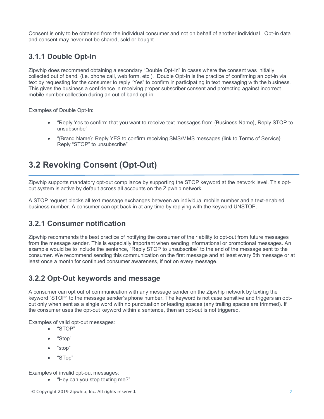Consent is only to be obtained from the individual consumer and not on behalf of another individual. Opt-in data and consent may never not be shared, sold or bought.

# **3.1.1 Double Opt-In**

Zipwhip does recommend obtaining a secondary "Double Opt-In" in cases where the consent was initially collected out of band, (i.e. phone call, web form, etc.). Double Opt-In is the practice of confirming an opt-in via text by requesting for the consumer to reply "Yes" to confirm in participating in text messaging with the business. This gives the business a confidence in receiving proper subscriber consent and protecting against incorrect mobile number collection during an out of band opt-in.

Examples of Double Opt-In:

- "Reply Yes to confirm that you want to receive text messages from {Business Name}, Reply STOP to unsubscribe"
- "{Brand Name}: Reply YES to confirm receiving SMS/MMS messages {link to Terms of Service} Reply "STOP" to unsubscribe"

# **3.2 Revoking Consent (Opt-Out)**

Zipwhip supports mandatory opt-out compliance by supporting the STOP keyword at the network level. This optout system is active by default across all accounts on the Zipwhip network.

A STOP request blocks all text message exchanges between an individual mobile number and a text-enabled business number. A consumer can opt back in at any time by replying with the keyword UNSTOP.

## **3.2.1 Consumer notification**

Zipwhip recommends the best practice of notifying the consumer of their ability to opt-out from future messages from the message sender. This is especially important when sending informational or promotional messages. An example would be to include the sentence, "Reply STOP to unsubscribe" to the end of the message sent to the consumer. We recommend sending this communication on the first message and at least every 5th message or at least once a month for continued consumer awareness, if not on every message.

# **3.2.2 Opt-Out keywords and message**

A consumer can opt out of communication with any message sender on the Zipwhip network by texting the keyword "STOP" to the message sender's phone number. The keyword is not case sensitive and triggers an optout only when sent as a single word with no punctuation or leading spaces (any trailing spaces are trimmed). If the consumer uses the opt-out keyword within a sentence, then an opt-out is not triggered.

Examples of valid opt-out messages:

- "STOP"
- "Stop"
- "stop"
- "STop"

Examples of invalid opt-out messages:

• "Hey can you stop texting me?"

© Copyright 2019 Zipwhip, Inc. All rights reserved. 7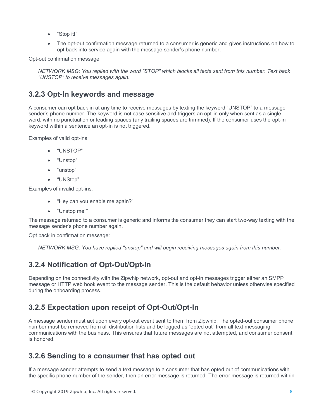- "Stop it!"
- The opt-out confirmation message returned to a consumer is generic and gives instructions on how to opt back into service again with the message sender's phone number.

Opt-out confirmation message:

*NETWORK MSG: You replied with the word "STOP" which blocks all texts sent from this number. Text back "UNSTOP" to receive messages again.*

#### **3.2.3 Opt-In keywords and message**

A consumer can opt back in at any time to receive messages by texting the keyword "UNSTOP" to a message sender's phone number. The keyword is not case sensitive and triggers an opt-in only when sent as a single word, with no punctuation or leading spaces (any trailing spaces are trimmed). If the consumer uses the opt-in keyword within a sentence an opt-in is not triggered.

Examples of valid opt-ins:

- "UNSTOP"
- "Unstop"
- "unstop"
- "UNStop"

Examples of invalid opt-ins:

- "Hey can you enable me again?"
- "Unstop me!"

The message returned to a consumer is generic and informs the consumer they can start two-way texting with the message sender's phone number again.

Opt back in confirmation message:

*NETWORK MSG: You have replied "unstop" and will begin receiving messages again from this number.*

# **3.2.4 Notification of Opt-Out/Opt-In**

Depending on the connectivity with the Zipwhip network, opt-out and opt-in messages trigger either an SMPP message or HTTP web hook event to the message sender. This is the default behavior unless otherwise specified during the onboarding process.

## **3.2.5 Expectation upon receipt of Opt-Out/Opt-In**

A message sender must act upon every opt-out event sent to them from Zipwhip. The opted-out consumer phone number must be removed from all distribution lists and be logged as "opted out" from all text messaging communications with the business. This ensures that future messages are not attempted, and consumer consent is honored.

## **3.2.6 Sending to a consumer that has opted out**

If a message sender attempts to send a text message to a consumer that has opted out of communications with the specific phone number of the sender, then an error message is returned. The error message is returned within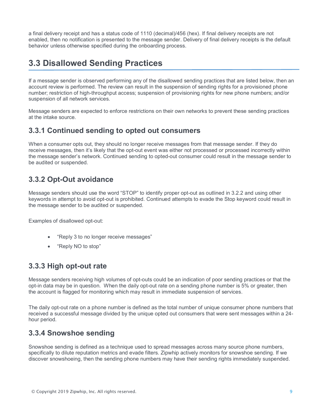a final delivery receipt and has a status code of 1110 (decimal)/456 (hex). If final delivery receipts are not enabled, then no notification is presented to the message sender. Delivery of final delivery receipts is the default behavior unless otherwise specified during the onboarding process.

# **3.3 Disallowed Sending Practices**

If a message sender is observed performing any of the disallowed sending practices that are listed below, then an account review is performed. The review can result in the suspension of sending rights for a provisioned phone number; restriction of high-throughput access; suspension of provisioning rights for new phone numbers; and/or suspension of all network services.

Message senders are expected to enforce restrictions on their own networks to prevent these sending practices at the intake source.

## **3.3.1 Continued sending to opted out consumers**

When a consumer opts out, they should no longer receive messages from that message sender. If they do receive messages, then it's likely that the opt-out event was either not processed or processed incorrectly within the message sender's network. Continued sending to opted-out consumer could result in the message sender to be audited or suspended.

## **3.3.2 Opt-Out avoidance**

Message senders should use the word "STOP" to identify proper opt-out as outlined in 3.2.2 and using other keywords in attempt to avoid opt-out is prohibited. Continued attempts to evade the Stop keyword could result in the message sender to be audited or suspended.

Examples of disallowed opt-out:

- "Reply 3 to no longer receive messages"
- "Reply NO to stop"

## **3.3.3 High opt-out rate**

Message senders receiving high volumes of opt-outs could be an indication of poor sending practices or that the opt-in data may be in question. When the daily opt-out rate on a sending phone number is 5% or greater, then the account is flagged for monitoring which may result in immediate suspension of services.

The daily opt-out rate on a phone number is defined as the total number of unique consumer phone numbers that received a successful message divided by the unique opted out consumers that were sent messages within a 24 hour period.

## **3.3.4 Snowshoe sending**

Snowshoe sending is defined as a technique used to spread messages across many source phone numbers, specifically to dilute reputation metrics and evade filters. Zipwhip actively monitors for snowshoe sending. If we discover snowshoeing, then the sending phone numbers may have their sending rights immediately suspended.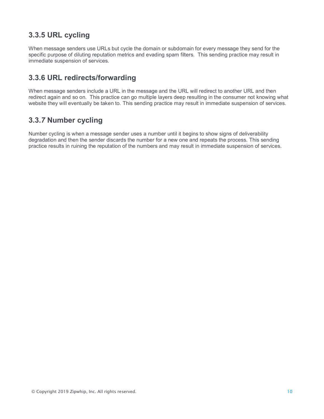# **3.3.5 URL cycling**

When message senders use URLs but cycle the domain or subdomain for every message they send for the specific purpose of diluting reputation metrics and evading spam filters. This sending practice may result in immediate suspension of services.

# **3.3.6 URL redirects/forwarding**

When message senders include a URL in the message and the URL will redirect to another URL and then redirect again and so on. This practice can go multiple layers deep resulting in the consumer not knowing what website they will eventually be taken to. This sending practice may result in immediate suspension of services.

# **3.3.***7* **Number cycling**

Number cycling is when a message sender uses a number until it begins to show signs of deliverability degradation and then the sender discards the number for a new one and repeats the process. This sending practice results in ruining the reputation of the numbers and may result in immediate suspension of services.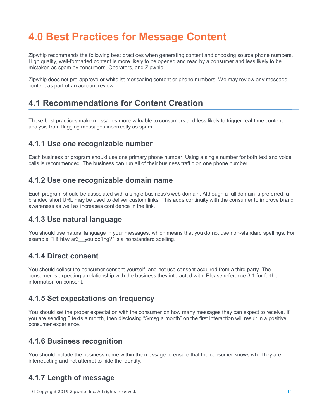# **4.0 Best Practices for Message Content**

Zipwhip recommends the following best practices when generating content and choosing source phone numbers. High quality, well-formatted content is more likely to be opened and read by a consumer and less likely to be mistaken as spam by consumers, Operators, and Zipwhip.

Zipwhip does not pre-approve or whitelist messaging content or phone numbers. We may review any message content as part of an account review.

# **4.1 Recommendations for Content Creation**

These best practices make messages more valuable to consumers and less likely to trigger real-time content analysis from flagging messages incorrectly as spam.

#### **4.1.1 Use one recognizable number**

Each business or program should use one primary phone number. Using a single number for both text and voice calls is recommended. The business can run all of their business traffic on one phone number.

#### **4.1.2 Use one recognizable domain name**

Each program should be associated with a single business's web domain. Although a full domain is preferred, a branded short URL may be used to deliver custom links. This adds continuity with the consumer to improve brand awareness as well as increases confidence in the link.

#### **4.1.3 Use natural language**

You should use natural language in your messages, which means that you do not use non-standard spellings. For example, "H! h0w ar3 you do1ng?" is a nonstandard spelling.

#### **4.1.4 Direct consent**

You should collect the consumer consent yourself, and not use consent acquired from a third party. The consumer is expecting a relationship with the business they interacted with. Please reference 3.1 for further information on consent.

#### **4.1.5 Set expectations on frequency**

You should set the proper expectation with the consumer on how many messages they can expect to receive. If you are sending 5 texts a month, then disclosing "5/msg a month" on the first interaction will result in a positive consumer experience.

#### **4.1.6 Business recognition**

You should include the business name within the message to ensure that the consumer knows who they are interreacting and not attempt to hide the identity.

## **4.1.7 Length of message**

© Copyright 2019 Zipwhip, Inc. All rights reserved. 11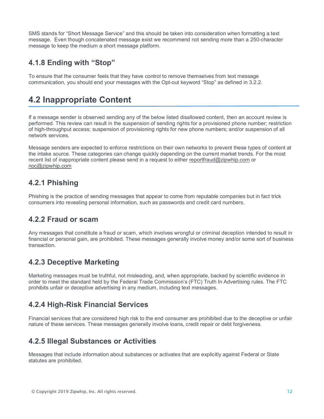SMS stands for "Short Message Service" and this should be taken into consideration when formatting a text message. Even though concatenated message exist we recommend not sending more than a 250-character message to keep the medium a short message platform.

# **4.1.8 Ending with "Stop"**

To ensure that the consumer feels that they have control to remove themselves from text message communication, you should end your messages with the Opt-out keyword "Stop" as defined in 3.2.2.

# **4.2 Inappropriate Content**

If a message sender is observed sending any of the below listed disallowed content, then an account review is performed. This review can result in the suspension of sending rights for a provisioned phone number; restriction of high-throughput access; suspension of provisioning rights for new phone numbers; and/or suspension of all network services.

Message senders are expected to enforce restrictions on their own networks to prevent these types of content at the intake source. These categories can change quickly depending on the current market trends. For the most recent list of inappropriate content please send in a request to either reportfraud@zipwhip.com or noc@zipwhip.com

## **4.2.1 Phishing**

Phishing is the practice of sending messages that appear to come from reputable companies but in fact trick consumers into revealing personal information, such as passwords and credit card numbers.

## **4.2.2 Fraud or scam**

Any messages that constitute a fraud or scam, which involves wrongful or criminal deception intended to result in financial or personal gain, are prohibited. These messages generally involve money and/or some sort of business transaction.

# **4.2.3 Deceptive Marketing**

Marketing messages must be truthful, not misleading, and, when appropriate, backed by scientific evidence in order to meet the standard held by the Federal Trade Commission's (FTC) Truth In Advertising rules. The FTC prohibits unfair or deceptive advertising in any medium, including text messages.

## **4.2.4 High-Risk Financial Services**

Financial services that are considered high risk to the end consumer are prohibited due to the deceptive or unfair nature of these services. These messages generally involve loans, credit repair or debt forgiveness.

# **4.2.5 Illegal Substances or Activities**

Messages that include information about substances or activates that are explicitly against Federal or State statutes are prohibited.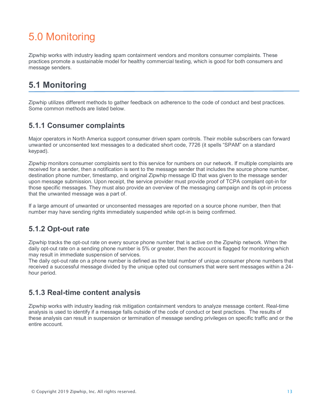# 5.0 Monitoring

Zipwhip works with industry leading spam containment vendors and monitors consumer complaints. These practices promote a sustainable model for healthy commercial texting, which is good for both consumers and message senders.

# **5.1 Monitoring**

Zipwhip utilizes different methods to gather feedback on adherence to the code of conduct and best practices. Some common methods are listed below.

#### **5.1.1 Consumer complaints**

Major operators in North America support consumer driven spam controls. Their mobile subscribers can forward unwanted or unconsented text messages to a dedicated short code, 7726 (it spells "SPAM" on a standard keypad).

Zipwhip monitors consumer complaints sent to this service for numbers on our network. If multiple complaints are received for a sender, then a notification is sent to the message sender that includes the source phone number, destination phone number, timestamp, and original Zipwhip message ID that was given to the message sender upon message submission. Upon receipt, the service provider must provide proof of TCPA compliant opt-in for those specific messages. They must also provide an overview of the messaging campaign and its opt-in process that the unwanted message was a part of.

If a large amount of unwanted or unconsented messages are reported on a source phone number, then that number may have sending rights immediately suspended while opt-in is being confirmed.

## **5.1.2 Opt-out rate**

Zipwhip tracks the opt-out rate on every source phone number that is active on the Zipwhip network. When the daily opt-out rate on a sending phone number is 5% or greater, then the account is flagged for monitoring which may result in immediate suspension of services.

The daily opt-out rate on a phone number is defined as the total number of unique consumer phone numbers that received a successful message divided by the unique opted out consumers that were sent messages within a 24 hour period.

## **5.1.3 Real-time content analysis**

Zipwhip works with industry leading risk mitigation containment vendors to analyze message content. Real-time analysis is used to identify if a message falls outside of the code of conduct or best practices. The results of these analysis can result in suspension or termination of message sending privileges on specific traffic and or the entire account.